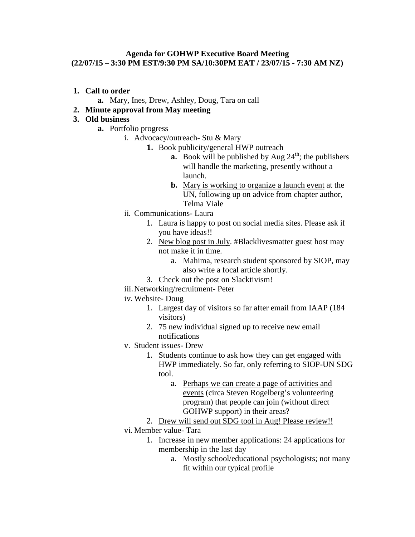## **Agenda for GOHWP Executive Board Meeting (22/07/15 – 3:30 PM EST/9:30 PM SA/10:30PM EAT / 23/07/15 - 7:30 AM NZ)**

- **1. Call to order**
	- **a.** Mary, Ines, Drew, Ashley, Doug, Tara on call
- **2. Minute approval from May meeting**

## **3. Old business**

- **a.** Portfolio progress
	- i. Advocacy/outreach- Stu & Mary
		- **1.** Book publicity/general HWP outreach
			- **a.** Book will be published by Aug  $24<sup>th</sup>$ ; the publishers will handle the marketing, presently without a launch.
			- **b.** Mary is working to organize a launch event at the UN, following up on advice from chapter author, Telma Viale
	- ii. Communications- Laura
		- 1. Laura is happy to post on social media sites. Please ask if you have ideas!!
		- 2. New blog post in July. #Blacklivesmatter guest host may not make it in time.
			- a. Mahima, research student sponsored by SIOP, may also write a focal article shortly.
		- 3. Check out the post on Slacktivism!
	- iii. Networking/recruitment- Peter
	- iv. Website- Doug
		- 1. Largest day of visitors so far after email from IAAP (184 visitors)
		- 2. 75 new individual signed up to receive new email notifications
	- v. Student issues- Drew
		- 1. Students continue to ask how they can get engaged with HWP immediately. So far, only referring to SIOP-UN SDG tool.
			- a. Perhaps we can create a page of activities and events (circa Steven Rogelberg's volunteering program) that people can join (without direct GOHWP support) in their areas?
		- 2. Drew will send out SDG tool in Aug! Please review!!
	- vi. Member value- Tara
		- 1. Increase in new member applications: 24 applications for membership in the last day
			- a. Mostly school/educational psychologists; not many fit within our typical profile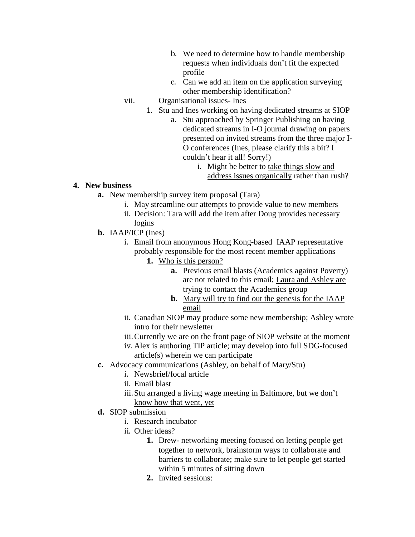- b. We need to determine how to handle membership requests when individuals don't fit the expected profile
- c. Can we add an item on the application surveying other membership identification?
- vii. Organisational issues- Ines
	- 1. Stu and Ines working on having dedicated streams at SIOP
		- a. Stu approached by Springer Publishing on having dedicated streams in I-O journal drawing on papers presented on invited streams from the three major I-O conferences (Ines, please clarify this a bit? I couldn't hear it all! Sorry!)
			- i. Might be better to take things slow and address issues organically rather than rush?

## **4. New business**

- **a.** New membership survey item proposal (Tara)
	- i. May streamline our attempts to provide value to new members
	- ii. Decision: Tara will add the item after Doug provides necessary logins
- **b.** IAAP/ICP (Ines)
	- i. Email from anonymous Hong Kong-based IAAP representative probably responsible for the most recent member applications
		- **1.** Who is this person?
			- **a.** Previous email blasts (Academics against Poverty) are not related to this email; Laura and Ashley are trying to contact the Academics group
			- **b.** Mary will try to find out the genesis for the IAAP email
	- ii. Canadian SIOP may produce some new membership; Ashley wrote intro for their newsletter
	- iii.Currently we are on the front page of SIOP website at the moment
	- iv. Alex is authoring TIP article; may develop into full SDG-focused article(s) wherein we can participate
- **c.** Advocacy communications (Ashley, on behalf of Mary/Stu)
	- i. Newsbrief/focal article
	- ii. Email blast
	- iii. Stu arranged a living wage meeting in Baltimore, but we don't know how that went, yet
- **d.** SIOP submission
	- i. Research incubator
	- ii. Other ideas?
		- **1.** Drew- networking meeting focused on letting people get together to network, brainstorm ways to collaborate and barriers to collaborate; make sure to let people get started within 5 minutes of sitting down
		- **2.** Invited sessions: